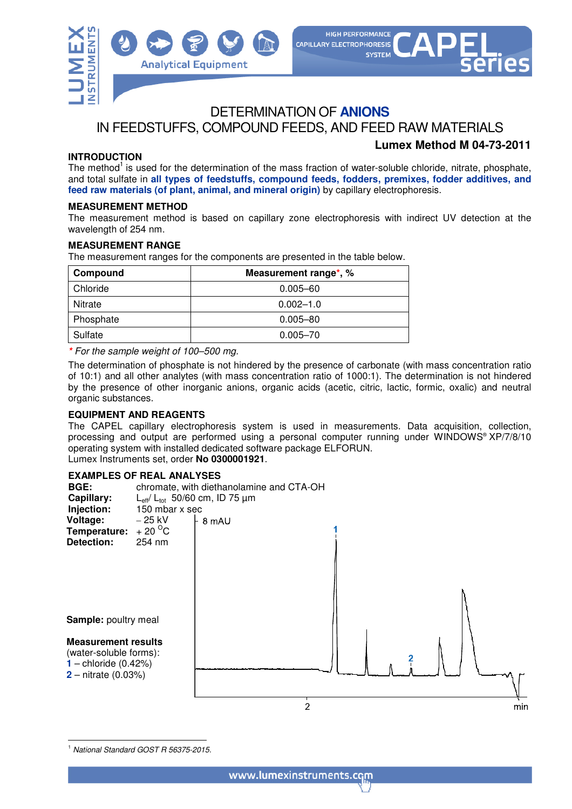



# DETERMINATION OF **ANIONS**  IN FEEDSTUFFS, COMPOUND FEEDS, AND FEED RAW MATERIALS

#### **INTRODUCTION**

# **Lumex Method M 04-73-2011**

The method<sup>1</sup> is used for the determination of the mass fraction of water-soluble chloride, nitrate, phosphate, and total sulfate in **all types of feedstuffs, compound feeds, fodders, premixes, fodder additives, and feed raw materials (of plant, animal, and mineral origin)** by capillary electrophoresis.

#### **MEASUREMENT METHOD**

The measurement method is based on capillary zone electrophoresis with indirect UV detection at the wavelength of 254 nm.

#### **MEASUREMENT RANGE**

The measurement ranges for the components are presented in the table below.

| Compound       | Measurement range*, % |
|----------------|-----------------------|
| Chloride       | $0.005 - 60$          |
| <b>Nitrate</b> | $0.002 - 1.0$         |
| Phosphate      | $0.005 - 80$          |
| Sulfate        | $0.005 - 70$          |

**\*** For the sample weight of 100–500 mg.

The determination of phosphate is not hindered by the presence of carbonate (with mass concentration ratio of 10:1) and all other analytes (with mass concentration ratio of 1000:1). The determination is not hindered by the presence of other inorganic anions, organic acids (acetic, citric, lactic, formic, oxalic) and neutral organic substances.

## **EQUIPMENT AND REAGENTS**

The CAPEL capillary electrophoresis system is used in measurements. Data acquisition, collection, processing and output are performed using a personal computer running under WINDOWS® XP/7/8/10 operating system with installed dedicated software package ELFORUN. Lumex Instruments set, order **No 0300001921**.

## **EXAMPLES OF REAL ANALYSES**



<sup>&</sup>lt;sup>1</sup> National Standard GOST R 56375-2015.

 $\overline{a}$